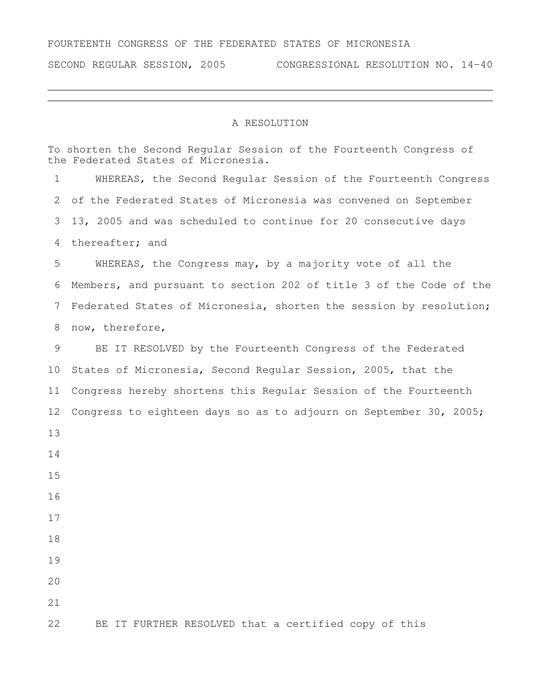## FOURTEENTH CONGRESS OF THE FEDERATED STATES OF MICRONESIA

SECOND REGULAR SESSION, 2005 CONGRESSIONAL RESOLUTION NO. 14-40

## A RESOLUTION

To shorten the Second Regular Session of the Fourteenth Congress of the Federated States of Micronesia. WHEREAS, the Second Regular Session of the Fourteenth Congress of the Federated States of Micronesia was convened on September 13, 2005 and was scheduled to continue for 20 consecutive days thereafter; and WHEREAS, the Congress may, by a majority vote of all the Members, and pursuant to section 202 of title 3 of the Code of the Federated States of Micronesia, shorten the session by resolution; now, therefore, BE IT RESOLVED by the Fourteenth Congress of the Federated States of Micronesia, Second Regular Session, 2005, that the Congress hereby shortens this Regular Session of the Fourteenth Congress to eighteen days so as to adjourn on September 30, 2005; BE IT FURTHER RESOLVED that a certified copy of this